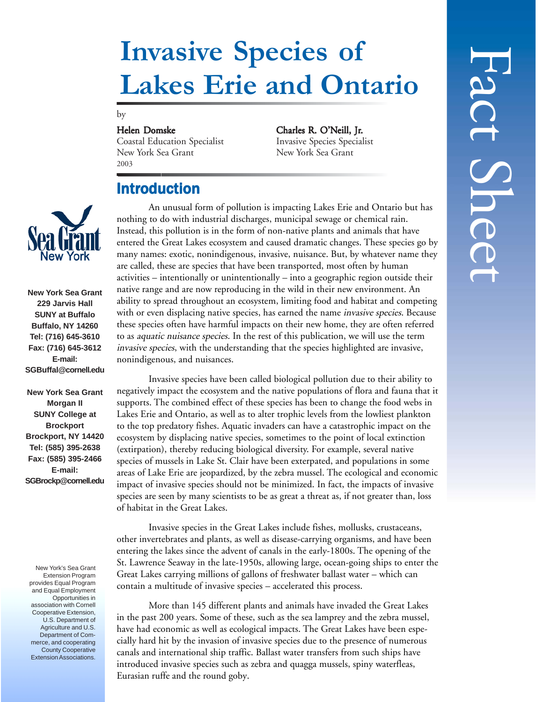# **Invasive Species of Lakes Erie and Ontario**

#### by

Coastal Education Specialist New York Sea Grant New York Sea Grant 2003

Helen Domske<br>
Coastal Education Specialist<br>
Invasive Species Specialist<br>
Invasive Species Specialist

## Introduction

An unusual form of pollution is impacting Lakes Erie and Ontario but has nothing to do with industrial discharges, municipal sewage or chemical rain. Instead, this pollution is in the form of non-native plants and animals that have entered the Great Lakes ecosystem and caused dramatic changes. These species go by many names: exotic, nonindigenous, invasive, nuisance. But, by whatever name they are called, these are species that have been transported, most often by human activities – intentionally or unintentionally – into a geographic region outside their native range and are now reproducing in the wild in their new environment. An ability to spread throughout an ecosystem, limiting food and habitat and competing with or even displacing native species, has earned the name *invasive species*. Because these species often have harmful impacts on their new home, they are often referred to as aquatic nuisance species. In the rest of this publication, we will use the term invasive species, with the understanding that the species highlighted are invasive, nonindigenous, and nuisances.

Invasive species have been called biological pollution due to their ability to negatively impact the ecosystem and the native populations of flora and fauna that it supports. The combined effect of these species has been to change the food webs in Lakes Erie and Ontario, as well as to alter trophic levels from the lowliest plankton to the top predatory fishes. Aquatic invaders can have a catastrophic impact on the ecosystem by displacing native species, sometimes to the point of local extinction (extirpation), thereby reducing biological diversity. For example, several native species of mussels in Lake St. Clair have been exterpated, and populations in some areas of Lake Erie are jeopardized, by the zebra mussel. The ecological and economic impact of invasive species should not be minimized. In fact, the impacts of invasive species are seen by many scientists to be as great a threat as, if not greater than, loss of habitat in the Great Lakes.

Invasive species in the Great Lakes include fishes, mollusks, crustaceans, other invertebrates and plants, as well as disease-carrying organisms, and have been entering the lakes since the advent of canals in the early-1800s. The opening of the St. Lawrence Seaway in the late-1950s, allowing large, ocean-going ships to enter the Great Lakes carrying millions of gallons of freshwater ballast water – which can contain a multitude of invasive species – accelerated this process.

More than 145 different plants and animals have invaded the Great Lakes in the past 200 years. Some of these, such as the sea lamprey and the zebra mussel, have had economic as well as ecological impacts. The Great Lakes have been especially hard hit by the invasion of invasive species due to the presence of numerous canals and international ship traffic. Ballast water transfers from such ships have introduced invasive species such as zebra and quagga mussels, spiny waterfleas, Eurasian ruffe and the round goby.



**New York Sea Grant 229 Jarvis Hall SUNY at Buffalo Buffalo, NY 14260 Tel: (716) 645-3610 Fax: (716) 645-3612 E-mail: SGBuffal@cornell.edu**

**New York Sea Grant Morgan II SUNY College at Brockport Brockport, NY 14420 Tel: (585) 395-2638 Fax: (585) 395-2466 E-mail: SGBrockp@cornell.edu**

New York's Sea Grant Extension Program provides Equal Program and Equal Employment Opportunities in association with Cornell Cooperative Extension, U.S. Department of Agriculture and U.S. Department of Commerce, and cooperating County Cooperative Extension Associations.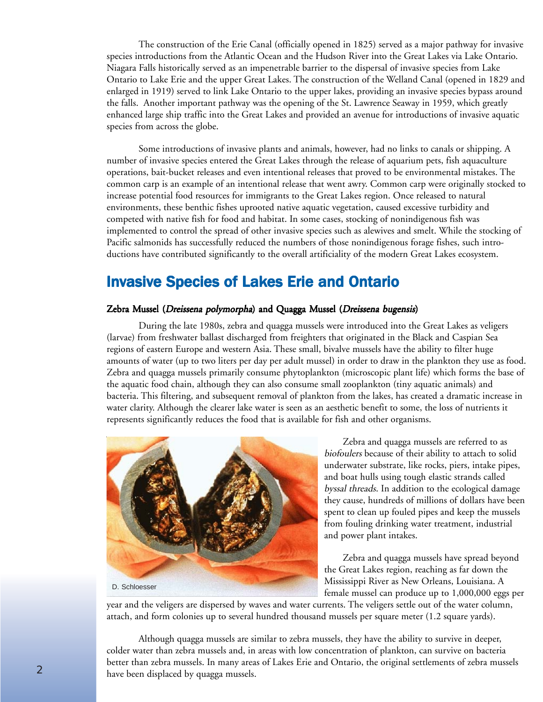The construction of the Erie Canal (officially opened in 1825) served as a major pathway for invasive species introductions from the Atlantic Ocean and the Hudson River into the Great Lakes via Lake Ontario. Niagara Falls historically served as an impenetrable barrier to the dispersal of invasive species from Lake Ontario to Lake Erie and the upper Great Lakes. The construction of the Welland Canal (opened in 1829 and enlarged in 1919) served to link Lake Ontario to the upper lakes, providing an invasive species bypass around the falls. Another important pathway was the opening of the St. Lawrence Seaway in 1959, which greatly enhanced large ship traffic into the Great Lakes and provided an avenue for introductions of invasive aquatic species from across the globe.

Some introductions of invasive plants and animals, however, had no links to canals or shipping. A number of invasive species entered the Great Lakes through the release of aquarium pets, fish aquaculture operations, bait-bucket releases and even intentional releases that proved to be environmental mistakes. The common carp is an example of an intentional release that went awry. Common carp were originally stocked to increase potential food resources for immigrants to the Great Lakes region. Once released to natural environments, these benthic fishes uprooted native aquatic vegetation, caused excessive turbidity and competed with native fish for food and habitat. In some cases, stocking of nonindigenous fish was implemented to control the spread of other invasive species such as alewives and smelt. While the stocking of Pacific salmonids has successfully reduced the numbers of those nonindigenous forage fishes, such introductions have contributed significantly to the overall artificiality of the modern Great Lakes ecosystem.

# **Invasive Species of Lakes Erie and Ontario**

#### Zebra Mussel (Dreissena polymorpha) and Quagga Mussel (Dreissena bugensis)

During the late 1980s, zebra and quagga mussels were introduced into the Great Lakes as veligers (larvae) from freshwater ballast discharged from freighters that originated in the Black and Caspian Sea regions of eastern Europe and western Asia. These small, bivalve mussels have the ability to filter huge amounts of water (up to two liters per day per adult mussel) in order to draw in the plankton they use as food. Zebra and quagga mussels primarily consume phytoplankton (microscopic plant life) which forms the base of the aquatic food chain, although they can also consume small zooplankton (tiny aquatic animals) and bacteria. This filtering, and subsequent removal of plankton from the lakes, has created a dramatic increase in water clarity. Although the clearer lake water is seen as an aesthetic benefit to some, the loss of nutrients it represents significantly reduces the food that is available for fish and other organisms.



 Zebra and quagga mussels are referred to as biofoulers because of their ability to attach to solid underwater substrate, like rocks, piers, intake pipes, and boat hulls using tough elastic strands called byssal threads. In addition to the ecological damage they cause, hundreds of millions of dollars have been spent to clean up fouled pipes and keep the mussels from fouling drinking water treatment, industrial and power plant intakes.

 Zebra and quagga mussels have spread beyond the Great Lakes region, reaching as far down the Mississippi River as New Orleans, Louisiana. A female mussel can produce up to 1,000,000 eggs per

year and the veligers are dispersed by waves and water currents. The veligers settle out of the water column, attach, and form colonies up to several hundred thousand mussels per square meter (1.2 square yards).

Although quagga mussels are similar to zebra mussels, they have the ability to survive in deeper, colder water than zebra mussels and, in areas with low concentration of plankton, can survive on bacteria better than zebra mussels. In many areas of Lakes Erie and Ontario, the original settlements of zebra mussels have been displaced by quagga mussels.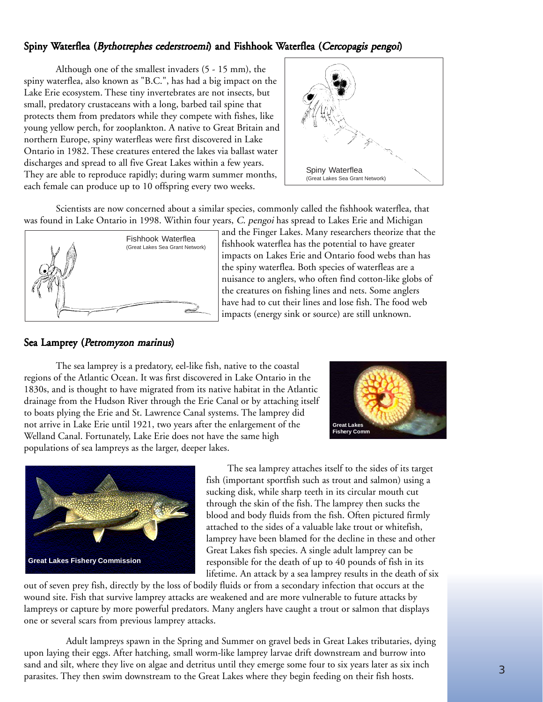## Spiny Waterflea (Bythotrephes cederstroemi) and Fishhook Waterflea (Cercopagis pengoi)

Although one of the smallest invaders (5 - 15 mm), the spiny waterflea, also known as "B.C.", has had a big impact on the Lake Erie ecosystem. These tiny invertebrates are not insects, but small, predatory crustaceans with a long, barbed tail spine that protects them from predators while they compete with fishes, like young yellow perch, for zooplankton. A native to Great Britain and northern Europe, spiny waterfleas were first discovered in Lake Ontario in 1982. These creatures entered the lakes via ballast water discharges and spread to all five Great Lakes within a few years. They are able to reproduce rapidly; during warm summer months, each female can produce up to 10 offspring every two weeks.



Scientists are now concerned about a similar species, commonly called the fishhook waterflea, that was found in Lake Ontario in 1998. Within four years, C. pengoi has spread to Lakes Erie and Michigan



and the Finger Lakes. Many researchers theorize that the fishhook waterflea has the potential to have greater impacts on Lakes Erie and Ontario food webs than has the spiny waterflea. Both species of waterfleas are a nuisance to anglers, who often find cotton-like globs of the creatures on fishing lines and nets. Some anglers have had to cut their lines and lose fish. The food web impacts (energy sink or source) are still unknown.

### Sea Lamprey (Petromyzon marinus)

The sea lamprey is a predatory, eel-like fish, native to the coastal regions of the Atlantic Ocean. It was first discovered in Lake Ontario in the 1830s, and is thought to have migrated from its native habitat in the Atlantic drainage from the Hudson River through the Erie Canal or by attaching itself to boats plying the Erie and St. Lawrence Canal systems. The lamprey did not arrive in Lake Erie until 1921, two years after the enlargement of the Welland Canal. Fortunately, Lake Erie does not have the same high populations of sea lampreys as the larger, deeper lakes.





 The sea lamprey attaches itself to the sides of its target fish (important sportfish such as trout and salmon) using a sucking disk, while sharp teeth in its circular mouth cut through the skin of the fish. The lamprey then sucks the blood and body fluids from the fish. Often pictured firmly attached to the sides of a valuable lake trout or whitefish, lamprey have been blamed for the decline in these and other Great Lakes fish species. A single adult lamprey can be responsible for the death of up to 40 pounds of fish in its lifetime. An attack by a sea lamprey results in the death of six

out of seven prey fish, directly by the loss of bodily fluids or from a secondary infection that occurs at the wound site. Fish that survive lamprey attacks are weakened and are more vulnerable to future attacks by lampreys or capture by more powerful predators. Many anglers have caught a trout or salmon that displays one or several scars from previous lamprey attacks.

 Adult lampreys spawn in the Spring and Summer on gravel beds in Great Lakes tributaries, dying upon laying their eggs. After hatching, small worm-like lamprey larvae drift downstream and burrow into sand and silt, where they live on algae and detritus until they emerge some four to six years later as six inch parasites. They then swim downstream to the Great Lakes where they begin feeding on their fish hosts.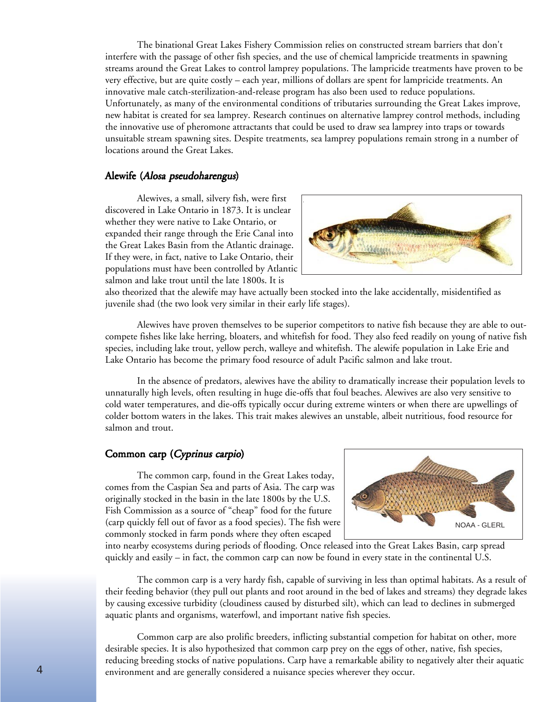The binational Great Lakes Fishery Commission relies on constructed stream barriers that don't interfere with the passage of other fish species, and the use of chemical lampricide treatments in spawning streams around the Great Lakes to control lamprey populations. The lampricide treatments have proven to be very effective, but are quite costly – each year, millions of dollars are spent for lampricide treatments. An innovative male catch-sterilization-and-release program has also been used to reduce populations. Unfortunately, as many of the environmental conditions of tributaries surrounding the Great Lakes improve, new habitat is created for sea lamprey. Research continues on alternative lamprey control methods, including the innovative use of pheromone attractants that could be used to draw sea lamprey into traps or towards unsuitable stream spawning sites. Despite treatments, sea lamprey populations remain strong in a number of locations around the Great Lakes.

#### Alewife (Alosa pseudoharengus)

Alewives, a small, silvery fish, were first discovered in Lake Ontario in 1873. It is unclear whether they were native to Lake Ontario, or expanded their range through the Erie Canal into the Great Lakes Basin from the Atlantic drainage. If they were, in fact, native to Lake Ontario, their populations must have been controlled by Atlantic salmon and lake trout until the late 1800s. It is



also theorized that the alewife may have actually been stocked into the lake accidentally, misidentified as juvenile shad (the two look very similar in their early life stages).

Alewives have proven themselves to be superior competitors to native fish because they are able to outcompete fishes like lake herring, bloaters, and whitefish for food. They also feed readily on young of native fish species, including lake trout, yellow perch, walleye and whitefish. The alewife population in Lake Erie and Lake Ontario has become the primary food resource of adult Pacific salmon and lake trout.

In the absence of predators, alewives have the ability to dramatically increase their population levels to unnaturally high levels, often resulting in huge die-offs that foul beaches. Alewives are also very sensitive to cold water temperatures, and die-offs typically occur during extreme winters or when there are upwellings of colder bottom waters in the lakes. This trait makes alewives an unstable, albeit nutritious, food resource for salmon and trout.

#### Common carp (Cyprinus carpio)

The common carp, found in the Great Lakes today, comes from the Caspian Sea and parts of Asia. The carp was originally stocked in the basin in the late 1800s by the U.S. Fish Commission as a source of "cheap" food for the future (carp quickly fell out of favor as a food species). The fish were commonly stocked in farm ponds where they often escaped



into nearby ecosystems during periods of flooding. Once released into the Great Lakes Basin, carp spread quickly and easily – in fact, the common carp can now be found in every state in the continental U.S.

The common carp is a very hardy fish, capable of surviving in less than optimal habitats. As a result of their feeding behavior (they pull out plants and root around in the bed of lakes and streams) they degrade lakes by causing excessive turbidity (cloudiness caused by disturbed silt), which can lead to declines in submerged aquatic plants and organisms, waterfowl, and important native fish species.

Common carp are also prolific breeders, inflicting substantial competion for habitat on other, more desirable species. It is also hypothesized that common carp prey on the eggs of other, native, fish species, reducing breeding stocks of native populations. Carp have a remarkable ability to negatively alter their aquatic environment and are generally considered a nuisance species wherever they occur.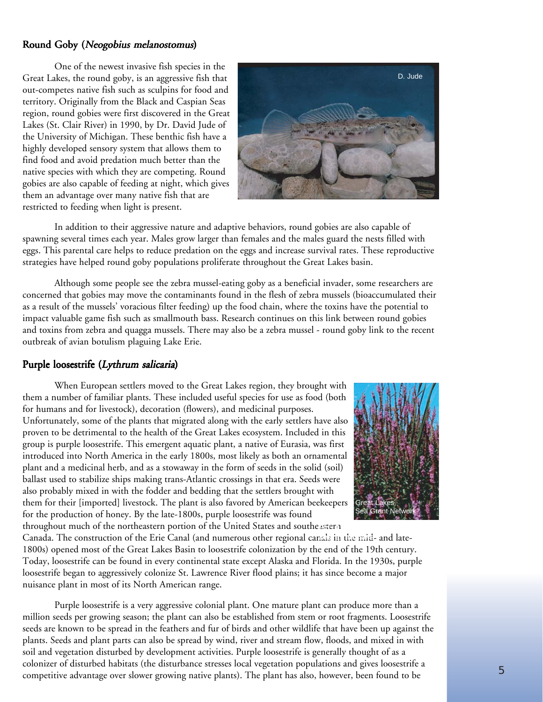#### Round Goby (Neogobius melanostomus)

One of the newest invasive fish species in the Great Lakes, the round goby, is an aggressive fish that out-competes native fish such as sculpins for food and territory. Originally from the Black and Caspian Seas region, round gobies were first discovered in the Great Lakes (St. Clair River) in 1990, by Dr. David Jude of the University of Michigan. These benthic fish have a highly developed sensory system that allows them to find food and avoid predation much better than the native species with which they are competing. Round gobies are also capable of feeding at night, which gives them an advantage over many native fish that are restricted to feeding when light is present.



In addition to their aggressive nature and adaptive behaviors, round gobies are also capable of spawning several times each year. Males grow larger than females and the males guard the nests filled with eggs. This parental care helps to reduce predation on the eggs and increase survival rates. These reproductive strategies have helped round goby populations proliferate throughout the Great Lakes basin.

Although some people see the zebra mussel-eating goby as a beneficial invader, some researchers are concerned that gobies may move the contaminants found in the flesh of zebra mussels (bioaccumulated their as a result of the mussels' voracious filter feeding) up the food chain, where the toxins have the potential to impact valuable game fish such as smallmouth bass. Research continues on this link between round gobies and toxins from zebra and quagga mussels. There may also be a zebra mussel - round goby link to the recent outbreak of avian botulism plaguing Lake Erie.

#### Purple loosestrife (Lythrum salicaria)

When European settlers moved to the Great Lakes region, they brought with them a number of familiar plants. These included useful species for use as food (both for humans and for livestock), decoration (flowers), and medicinal purposes. Unfortunately, some of the plants that migrated along with the early settlers have also proven to be detrimental to the health of the Great Lakes ecosystem. Included in this group is purple loosestrife. This emergent aquatic plant, a native of Eurasia, was first introduced into North America in the early 1800s, most likely as both an ornamental plant and a medicinal herb, and as a stowaway in the form of seeds in the solid (soil) ballast used to stabilize ships making trans-Atlantic crossings in that era. Seeds were also probably mixed in with the fodder and bedding that the settlers brought with them for their [imported] livestock. The plant is also favored by American beekeepers for the production of honey. By the late-1800s, purple loosestrife was found throughout much of the northeastern portion of the United States and southe*xstern* 



Canada. The construction of the Erie Canal (and numerous other regional canals in the mid- and late-**Zebra mussels**1800s) opened most of the Great Lakes Basin to loosestrife colonization by the end of the 19th century. Today, loosestrife can be found in every continental state except Alaska and Florida. In the 1930s, purple loosestrife began to aggressively colonize St. Lawrence River flood plains; it has since become a major nuisance plant in most of its North American range.

Purple loosestrife is a very aggressive colonial plant. One mature plant can produce more than a million seeds per growing season; the plant can also be established from stem or root fragments. Loosestrife seeds are known to be spread in the feathers and fur of birds and other wildlife that have been up against the plants. Seeds and plant parts can also be spread by wind, river and stream flow, floods, and mixed in with soil and vegetation disturbed by development activities. Purple loosestrife is generally thought of as a colonizer of disturbed habitats (the disturbance stresses local vegetation populations and gives loosestrife a competitive advantage over slower growing native plants). The plant has also, however, been found to be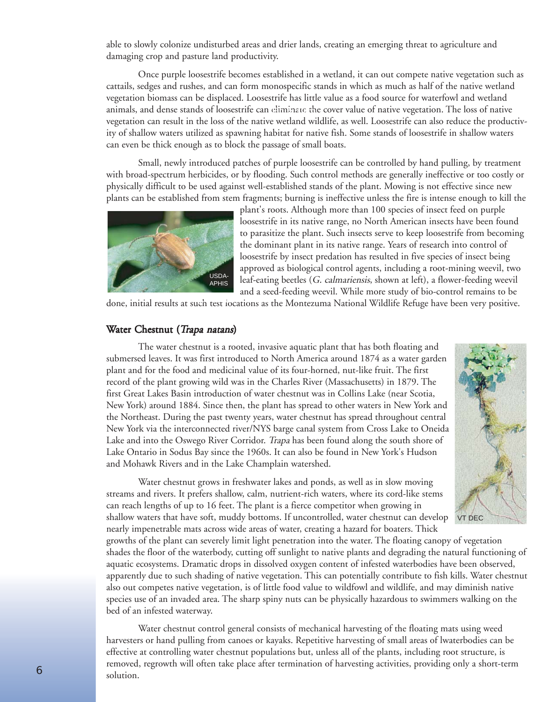able to slowly colonize undisturbed areas and drier lands, creating an emerging threat to agriculture and damaging crop and pasture land productivity.

Once purple loosestrife becomes established in a wetland, it can out compete native vegetation such as cattails, sedges and rushes, and can form monospecific stands in which as much as half of the native wetland vegetation biomass can be displaced. Loosestrife has little value as a food source for waterfowl and wetland animals, and dense stands of loosestrife can eliminate the cover value of native vegetation. The loss of native **Fig. 5 Carp** vegetation can result in the loss of the native wetland wildlife, as well. Loosestrife can also reduce the productivity of shallow waters utilized as spawning habitat for native fish. Some stands of loosestrife in shallow waters can even be thick enough as to block the passage of small boats.

Small, newly introduced patches of purple loosestrife can be controlled by hand pulling, by treatment with broad-spectrum herbicides, or by flooding. Such control methods are generally ineffective or too costly or physically difficult to be used against well-established stands of the plant. Mowing is not effective since new plants can be established from stem fragments; burning is ineffective unless the fire is intense enough to kill the



plant's roots. Although more than 100 species of insect feed on purple loosestrife in its native range, no North American insects have been found to parasitize the plant. Such insects serve to keep loosestrife from becoming the dominant plant in its native range. Years of research into control of loosestrife by insect predation has resulted in five species of insect being approved as biological control agents, including a root-mining weevil, two leaf-eating beetles (G. calmariensis, shown at left), a flower-feeding weevil and a seed-feeding weevil. While more study of bio-control remains to be

done, initial results at such test locations as the Montezuma National Wildlife Refuge have been very positive.

#### Water Chestnut (Trapa natans)

The water chestnut is a rooted, invasive aquatic plant that has both floating and submersed leaves. It was first introduced to North America around 1874 as a water garden plant and for the food and medicinal value of its four-horned, nut-like fruit. The first record of the plant growing wild was in the Charles River (Massachusetts) in 1879. The first Great Lakes Basin introduction of water chestnut was in Collins Lake (near Scotia, New York) around 1884. Since then, the plant has spread to other waters in New York and the Northeast. During the past twenty years, water chestnut has spread throughout central New York via the interconnected river/NYS barge canal system from Cross Lake to Oneida Lake and into the Oswego River Corridor. Trapa has been found along the south shore of Lake Ontario in Sodus Bay since the 1960s. It can also be found in New York's Hudson and Mohawk Rivers and in the Lake Champlain watershed.

Water chestnut grows in freshwater lakes and ponds, as well as in slow moving streams and rivers. It prefers shallow, calm, nutrient-rich waters, where its cord-like stems can reach lengths of up to 16 feet. The plant is a fierce competitor when growing in shallow waters that have soft, muddy bottoms. If uncontrolled, water chestnut can develop nearly impenetrable mats across wide areas of water, creating a hazard for boaters. Thick

growths of the plant can severely limit light penetration into the water. The floating canopy of vegetation shades the floor of the waterbody, cutting off sunlight to native plants and degrading the natural functioning of aquatic ecosystems. Dramatic drops in dissolved oxygen content of infested waterbodies have been observed, apparently due to such shading of native vegetation. This can potentially contribute to fish kills. Water chestnut also out competes native vegetation, is of little food value to wildfowl and wildlife, and may diminish native species use of an invaded area. The sharp spiny nuts can be physically hazardous to swimmers walking on the bed of an infested waterway.

Water chestnut control general consists of mechanical harvesting of the floating mats using weed harvesters or hand pulling from canoes or kayaks. Repetitive harvesting of small areas of lwaterbodies can be effective at controlling water chestnut populations but, unless all of the plants, including root structure, is removed, regrowth will often take place after termination of harvesting activities, providing only a short-term solution.

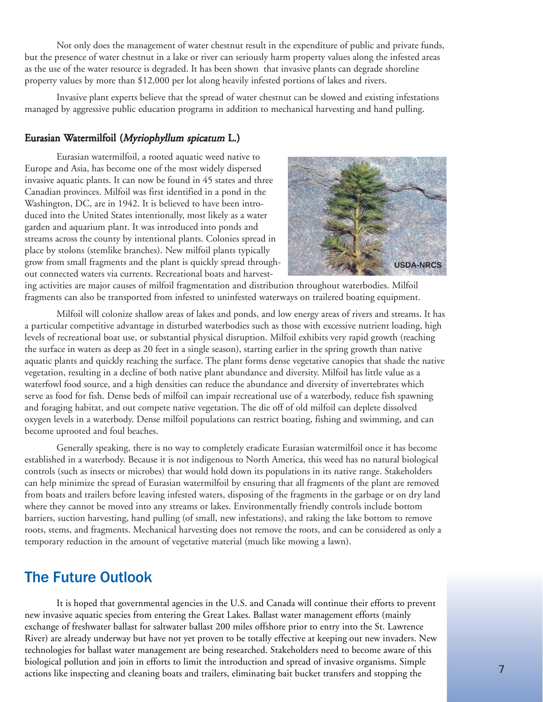Not only does the management of water chestnut result in the expenditure of public and private funds, but the presence of water chestnut in a lake or river can seriously harm property values along the infested areas as the use of the water resource is degraded. It has been shown that invasive plants can degrade shoreline property values by more than \$12,000 per lot along heavily infested portions of lakes and rivers.

Invasive plant experts believe that the spread of water chestnut can be slowed and existing infestations managed by aggressive public education programs in addition to mechanical harvesting and hand pulling.

#### Eurasian Watermilfoil (Myriophyllum spicatum L.)

Eurasian watermilfoil, a rooted aquatic weed native to Europe and Asia, has become one of the most widely dispersed invasive aquatic plants. It can now be found in 45 states and three Canadian provinces. Milfoil was first identified in a pond in the Washington, DC, are in 1942. It is believed to have been introduced into the United States intentionally, most likely as a water garden and aquarium plant. It was introduced into ponds and streams across the county by intentional plants. Colonies spread in place by stolons (stemlike branches). New milfoil plants typically grow from small fragments and the plant is quickly spread throughout connected waters via currents. Recreational boats and harvest-



ing activities are major causes of milfoil fragmentation and distribution throughout waterbodies. Milfoil fragments can also be transported from infested to uninfested waterways on trailered boating equipment.

Milfoil will colonize shallow areas of lakes and ponds, and low energy areas of rivers and streams. It has a particular competitive advantage in disturbed waterbodies such as those with excessive nutrient loading, high levels of recreational boat use, or substantial physical disruption. Milfoil exhibits very rapid growth (reaching the surface in waters as deep as 20 feet in a single season), starting earlier in the spring growth than native aquatic plants and quickly reaching the surface. The plant forms dense vegetative canopies that shade the native vegetation, resulting in a decline of both native plant abundance and diversity. Milfoil has little value as a waterfowl food source, and a high densities can reduce the abundance and diversity of invertebrates which serve as food for fish. Dense beds of milfoil can impair recreational use of a waterbody, reduce fish spawning and foraging habitat, and out compete native vegetation. The die off of old milfoil can deplete dissolved oxygen levels in a waterbody. Dense milfoil populations can restrict boating, fishing and swimming, and can become uprooted and foul beaches.

Generally speaking, there is no way to completely eradicate Eurasian watermilfoil once it has become established in a waterbody. Because it is not indigenous to North America, this weed has no natural biological controls (such as insects or microbes) that would hold down its populations in its native range. Stakeholders can help minimize the spread of Eurasian watermilfoil by ensuring that all fragments of the plant are removed from boats and trailers before leaving infested waters, disposing of the fragments in the garbage or on dry land where they cannot be moved into any streams or lakes. Environmentally friendly controls include bottom barriers, suction harvesting, hand pulling (of small, new infestations), and raking the lake bottom to remove roots, stems, and fragments. Mechanical harvesting does not remove the roots, and can be considered as only a temporary reduction in the amount of vegetative material (much like mowing a lawn).

## The Future Outlook

It is hoped that governmental agencies in the U.S. and Canada will continue their efforts to prevent new invasive aquatic species from entering the Great Lakes. Ballast water management efforts (mainly exchange of freshwater ballast for saltwater ballast 200 miles offshore prior to entry into the St. Lawrence River) are already underway but have not yet proven to be totally effective at keeping out new invaders. New technologies for ballast water management are being researched. Stakeholders need to become aware of this biological pollution and join in efforts to limit the introduction and spread of invasive organisms. Simple actions like inspecting and cleaning boats and trailers, eliminating bait bucket transfers and stopping the